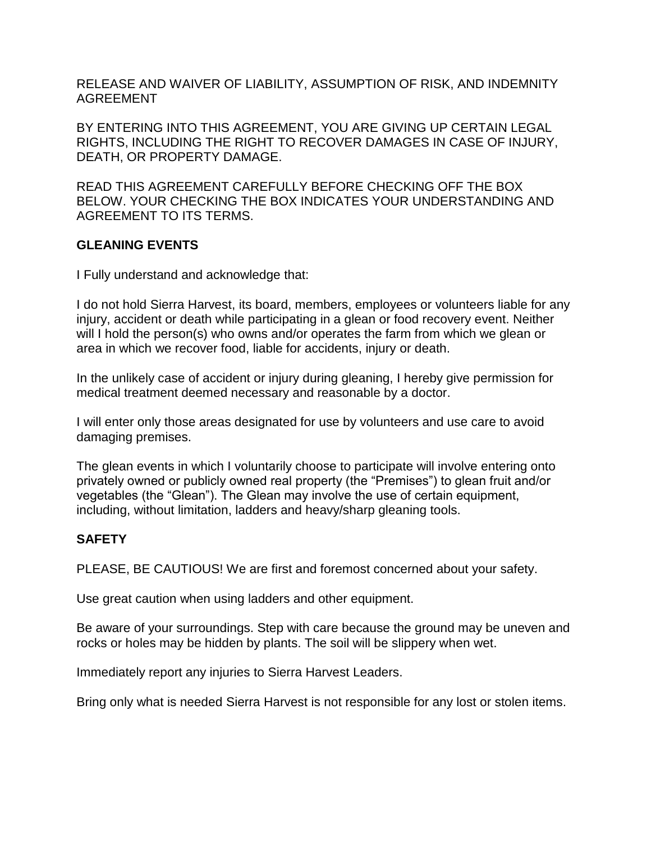RELEASE AND WAIVER OF LIABILITY, ASSUMPTION OF RISK, AND INDEMNITY AGREEMENT

BY ENTERING INTO THIS AGREEMENT, YOU ARE GIVING UP CERTAIN LEGAL RIGHTS, INCLUDING THE RIGHT TO RECOVER DAMAGES IN CASE OF INJURY, DEATH, OR PROPERTY DAMAGE.

READ THIS AGREEMENT CAREFULLY BEFORE CHECKING OFF THE BOX BELOW. YOUR CHECKING THE BOX INDICATES YOUR UNDERSTANDING AND AGREEMENT TO ITS TERMS.

## **GLEANING EVENTS**

I Fully understand and acknowledge that:

I do not hold Sierra Harvest, its board, members, employees or volunteers liable for any injury, accident or death while participating in a glean or food recovery event. Neither will I hold the person(s) who owns and/or operates the farm from which we glean or area in which we recover food, liable for accidents, injury or death.

In the unlikely case of accident or injury during gleaning, I hereby give permission for medical treatment deemed necessary and reasonable by a doctor.

I will enter only those areas designated for use by volunteers and use care to avoid damaging premises.

The glean events in which I voluntarily choose to participate will involve entering onto privately owned or publicly owned real property (the "Premises") to glean fruit and/or vegetables (the "Glean"). The Glean may involve the use of certain equipment, including, without limitation, ladders and heavy/sharp gleaning tools.

# **SAFETY**

PLEASE, BE CAUTIOUS! We are first and foremost concerned about your safety.

Use great caution when using ladders and other equipment.

Be aware of your surroundings. Step with care because the ground may be uneven and rocks or holes may be hidden by plants. The soil will be slippery when wet.

Immediately report any injuries to Sierra Harvest Leaders.

Bring only what is needed Sierra Harvest is not responsible for any lost or stolen items.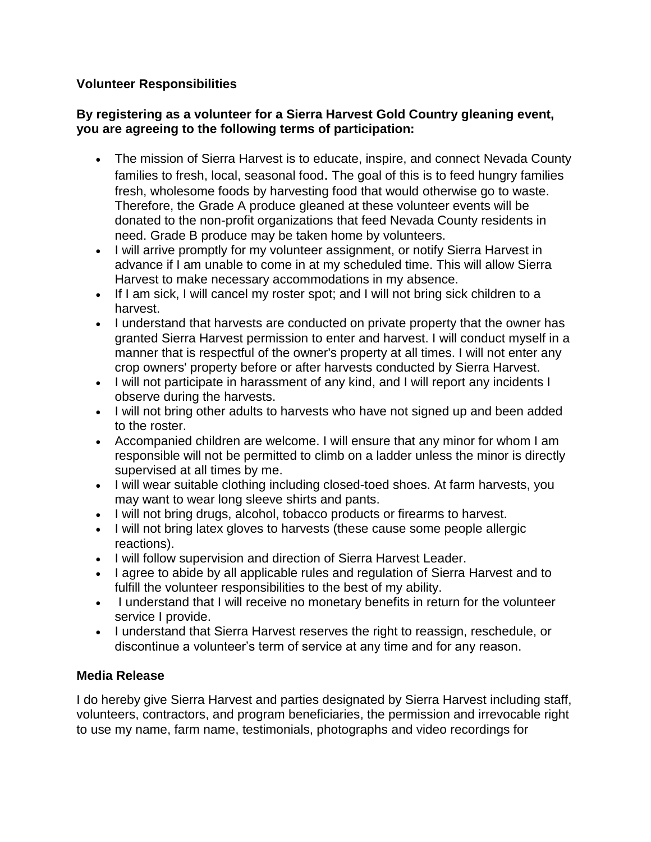## **Volunteer Responsibilities**

### **By registering as a volunteer for a Sierra Harvest Gold Country gleaning event, you are agreeing to the following terms of participation:**

- The mission of Sierra Harvest is to educate, inspire, and connect Nevada County families to fresh, local, seasonal food. The goal of this is to feed hungry families fresh, wholesome foods by harvesting food that would otherwise go to waste. Therefore, the Grade A produce gleaned at these volunteer events will be donated to the non-profit organizations that feed Nevada County residents in need. Grade B produce may be taken home by volunteers.
- I will arrive promptly for my volunteer assignment, or notify Sierra Harvest in advance if I am unable to come in at my scheduled time. This will allow Sierra Harvest to make necessary accommodations in my absence.
- If I am sick, I will cancel my roster spot; and I will not bring sick children to a harvest.
- I understand that harvests are conducted on private property that the owner has granted Sierra Harvest permission to enter and harvest. I will conduct myself in a manner that is respectful of the owner's property at all times. I will not enter any crop owners' property before or after harvests conducted by Sierra Harvest.
- I will not participate in harassment of any kind, and I will report any incidents I observe during the harvests.
- I will not bring other adults to harvests who have not signed up and been added to the roster.
- Accompanied children are welcome. I will ensure that any minor for whom I am responsible will not be permitted to climb on a ladder unless the minor is directly supervised at all times by me.
- I will wear suitable clothing including closed-toed shoes. At farm harvests, you may want to wear long sleeve shirts and pants.
- I will not bring drugs, alcohol, tobacco products or firearms to harvest.
- I will not bring latex gloves to harvests (these cause some people allergic reactions).
- I will follow supervision and direction of Sierra Harvest Leader.
- I agree to abide by all applicable rules and regulation of Sierra Harvest and to fulfill the volunteer responsibilities to the best of my ability.
- I understand that I will receive no monetary benefits in return for the volunteer service I provide.
- I understand that Sierra Harvest reserves the right to reassign, reschedule, or discontinue a volunteer's term of service at any time and for any reason.

## **Media Release**

I do hereby give Sierra Harvest and parties designated by Sierra Harvest including staff, volunteers, contractors, and program beneficiaries, the permission and irrevocable right to use my name, farm name, testimonials, photographs and video recordings for